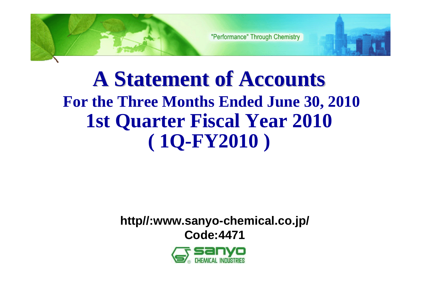# **A Statement of Accounts A Statement of Accounts For the Three Months Ended June 30, 2010 1st Quarter Fiscal Year 2010 ( 1Q-FY2010 )**

#### **http//:www.sanyo-chemical.co.jp/ Code:4471**

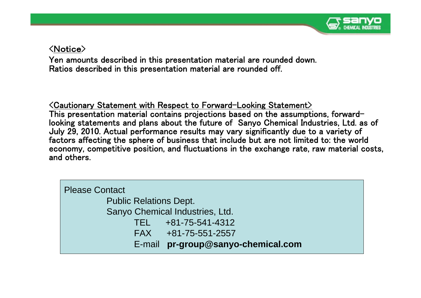

#### <Notice>

Yen amounts described in this presentation material are rounded down. Ratios described in this presentation material are rounded off.

 $\leq$ Cautionary Statement with Respect to Forward-Looking Statement $\geq$ This presentation material contains projections based on the assumptions, forward looking statements and plans about the future of Sanyo Chemical Industries, Ltd. as of factors affecting the sphere of business that include but are not limited to: the world July 29, 2010. Actual performance results may vary significantly due to a variety of economy, competitive position, and fluctuations in the exchange rate, raw material costs, and others.

| <b>Please Contact</b>         |                                    |
|-------------------------------|------------------------------------|
| <b>Public Relations Dept.</b> |                                    |
|                               | Sanyo Chemical Industries, Ltd.    |
|                               | TEL +81-75-541-4312                |
|                               | $FAX + 81 - 75 - 551 - 2557$       |
|                               | E-mail pr-group@sanyo-chemical.com |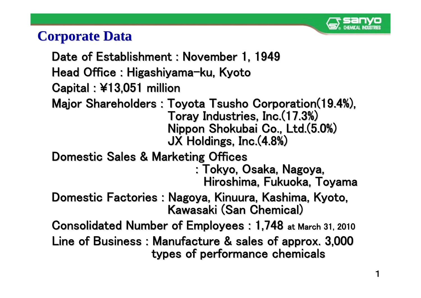

#### **Corporate Data Corporate Data**

Date of Establishment : November 1, 1949 Head Office : Higashiyama-ku, Kyoto Capital : ¥13,051 million Major Shareholders : Toyota Tsusho Corporation(19.4%),<br>Toray Industries, Inc.(17.3%) Nippon Shokubai Co., Ltd.(5.0%) JX Holdings, Inc.(4.8%) Domestic Sales & Marketing Offices : Tokyo, Osaka, Nagoya, Hiroshima, Fukuoka, Toyama Domestic Factories : Nagoya, Kinuura, Kashima, Kyoto, Domestic Factories : Nagoya, Kinuura, Kashima, Kyoto, Kawasaki (San Chemical) Kawasaki (San Chemical)  $\bf$  Consolidated Number of Employees : 1,748 at March 31, 2010 Line of Business : Manufacture & sales of approx. 3,000  $\,$ types of performance chemicals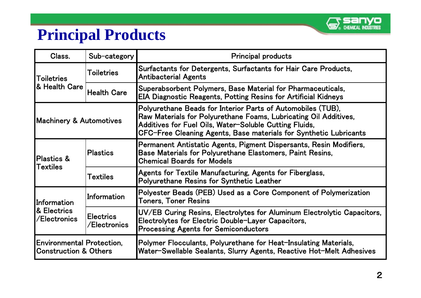

## **Principal Products**

| Class.                                                               | Sub-category                     | <b>Principal products</b>                                                                                                                                                                                                                                      |
|----------------------------------------------------------------------|----------------------------------|----------------------------------------------------------------------------------------------------------------------------------------------------------------------------------------------------------------------------------------------------------------|
| <b>Toiletries</b>                                                    | <b>Toiletries</b>                | Surfactants for Detergents, Surfactants for Hair Care Products,<br><b>Antibacterial Agents</b>                                                                                                                                                                 |
| & Health Care                                                        | <b>Health Care</b>               | Superabsorbent Polymers, Base Material for Pharmaceuticals,<br><b>EIA Diagnostic Reagents, Potting Resins for Artificial Kidneys</b>                                                                                                                           |
| <b>Machinery &amp; Automotives</b>                                   |                                  | Polyurethane Beads for Interior Parts of Automobiles (TUB),<br>Raw Materials for Polyurethane Foams, Lubricating Oil Additives,<br>Additives for Fuel Oils, Water-Soluble Cutting Fluids,<br>CFC-Free Cleaning Agents, Base materials for Synthetic Lubricants |
| <b>Plastics &amp;</b><br><b>Textiles</b>                             | <b>Plastics</b>                  | Permanent Antistatic Agents, Pigment Dispersants, Resin Modifiers,<br>Base Materials for Polyurethane Elastomers, Paint Resins,<br><b>Chemical Boards for Models</b>                                                                                           |
|                                                                      | Textiles                         | Agents for Textile Manufacturing, Agents for Fiberglass,<br>Polyurethane Resins for Synthetic Leather                                                                                                                                                          |
| Information                                                          | Information                      | Polyester Beads (PEB) Used as a Core Component of Polymerization<br><b>Toners, Toner Resins</b>                                                                                                                                                                |
| & Electrics<br>/Electronics                                          | <b>Electrics</b><br>/Electronics | UV/EB Curing Resins, Electrolytes for Aluminum Electrolytic Capacitors,<br>Electrolytes for Electric Double-Layer Capacitors,<br><b>Processing Agents for Semiconductors</b>                                                                                   |
| <b>Environmental Protection,</b><br><b>Construction &amp; Others</b> |                                  | Polymer Flocculants, Polyurethane for Heat-Insulating Materials,<br>Water-Swellable Sealants, Slurry Agents, Reactive Hot-Melt Adhesives                                                                                                                       |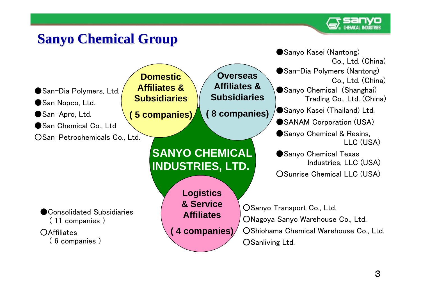

### **Sanyo Chemical Group Sanyo Chemical Group**

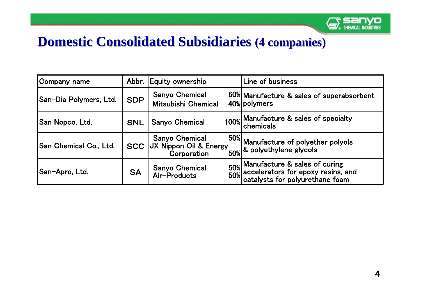

#### **Domestic Consolidated Subsidiaries (4 companies)**

| Company name                  |            | Abbr. Equity ownership                                         | Line of business                                                                                               |
|-------------------------------|------------|----------------------------------------------------------------|----------------------------------------------------------------------------------------------------------------|
| San-Dia Polymers, Ltd.        | <b>SDP</b> | <b>Sanyo Chemical</b><br>Mitsubishi Chemical                   | 60% Manufacture & sales of superabsorbent<br>40% polymers                                                      |
| <b>San Nopco, Ltd.</b>        | <b>SNL</b> | <b>Sanyo Chemical</b>                                          | 100% Manufacture & sales of specialty<br>$ $ chemicals                                                         |
| <b>San Chemical Co., Ltd.</b> | <b>SCC</b> | <b>Sanyo Chemical</b><br>JX Nippon Oil & Energy<br>Corporation | 50% Manufacture of polyether polyols<br>$\mathbf{y}_{50\%}$ & polyethylene glycols                             |
| San-Apro, Ltd.                | <b>SA</b>  | <b>Sanyo Chemical</b><br>Air-Products                          | 50% Manufacture & sales of curing<br>50% accelerators for epoxy resins, and<br>catalysts for polyurethane foam |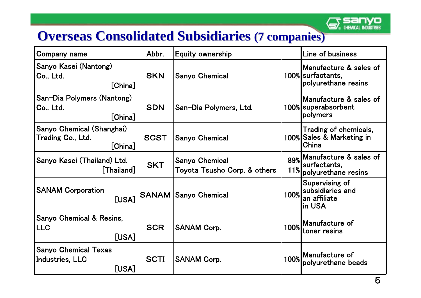

#### **Overseas Consolidated Subsidiaries (7 companies)**

| Company name                                              | Abbr.<br>Equity ownership |                                                       |      |                                                                    |
|-----------------------------------------------------------|---------------------------|-------------------------------------------------------|------|--------------------------------------------------------------------|
| Sanyo Kasei (Nantong)<br>Co., Ltd.<br>[China]             | <b>SKN</b>                | <b>Sanyo Chemical</b>                                 |      | Manufacture & sales of<br>100% surfactants,<br>polyurethane resins |
| San-Dia Polymers (Nantong)<br>Co., Ltd.<br>[China]        | <b>SDN</b>                | San-Dia Polymers, Ltd.                                |      | Manufacture & sales of<br>100% superabsorbent<br>polymers          |
| Sanyo Chemical (Shanghai)<br>Trading Co., Ltd.<br>[China] | <b>SCST</b>               | <b>Sanyo Chemical</b>                                 |      | Trading of chemicals,<br>100% Sales & Marketing in<br>China        |
| Sanyo Kasei (Thailand) Ltd.<br>$[$ Thailand $]$           | <b>SKT</b>                | <b>Sanyo Chemical</b><br>Toyota Tsusho Corp. & others | 11%  | 89% Manufacture & sales of<br>surfactants,<br>polyurethane resins  |
| <b>SANAM Corporation</b><br>[USA]                         |                           | <b>SANAM Sanyo Chemical</b>                           | 100% | Supervising of<br>subsidiaries and<br>an affiliate<br>in USA       |
| Sanyo Chemical & Resins,<br><b>LLC</b><br>[USA]           | <b>SCR</b>                | <b>SANAM Corp.</b>                                    | 100% | Manufacture of<br>toner resins                                     |
| <b>Sanyo Chemical Texas</b><br>Industries, LLC<br>[USA]   | <b>SCTI</b>               | <b>SANAM Corp.</b>                                    |      | 100% Manufacture of<br>polyurethane beads                          |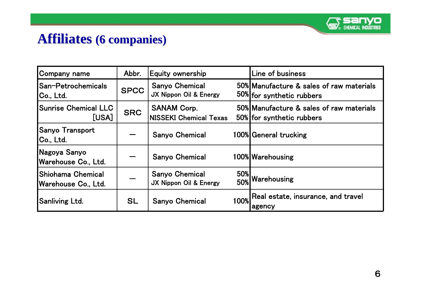

#### **Affiliates Affiliates (6 companies) (6 companies)**

| Company name                                     | Abbr.       | <b>Equity ownership</b>                             |            | <b>Line of business</b>                                               |
|--------------------------------------------------|-------------|-----------------------------------------------------|------------|-----------------------------------------------------------------------|
| San-Petrochemicals <br> Co., Ltd.                | <b>SPCC</b> | <b>Sanyo Chemical</b><br>JX Nippon Oil & Energy     |            | 50% Manufacture & sales of raw materials<br>50% for synthetic rubbers |
| Sunrise Chemical LLC<br>[USA]                    | <b>SRC</b>  | <b>SANAM Corp.</b><br><b>NISSEKI Chemical Texas</b> |            | 50% Manufacture & sales of raw materials<br>50% for synthetic rubbers |
| Sanyo Transport<br>Co., Ltd.                     |             | <b>Sanyo Chemical</b>                               |            | 100% General trucking                                                 |
| Nagoya Sanyo<br>Warehouse Co., Ltd.              |             | <b>Sanyo Chemical</b>                               |            | 100% Warehousing                                                      |
| IShiohama Chemical<br><b>Warehouse Co., Ltd.</b> |             | <b>Sanyo Chemical</b><br>JX Nippon Oil & Energy     | <b>50%</b> | 50% Warehousing                                                       |
| <b>Sanliving Ltd.</b>                            | <b>SL</b>   | <b>Sanyo Chemical</b>                               | 100%       | Real estate, insurance, and travel<br>agency                          |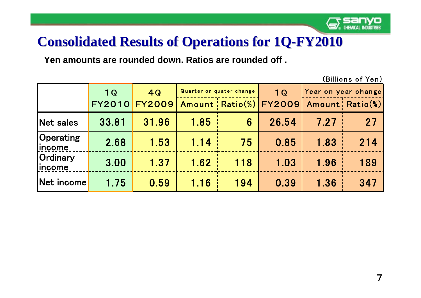

#### **Consolidated Results of Operations for 1Q-FY2010**

**Yen amounts are rounded down. Ratios are rounded off .**

|                                   | 1Q            | 4Q            |      | Quarter on quater change |               |      | Year on year change |
|-----------------------------------|---------------|---------------|------|--------------------------|---------------|------|---------------------|
|                                   | <b>FY2010</b> | <b>FY2009</b> |      | Amount   Ratio(%)        | <b>FY2009</b> |      | Amount Ratio(%)     |
| Net sales                         | 33.81         | 31.96         | 1.85 | 6                        | 26.54         | 7.27 | 27                  |
| <b>Operating</b><br><b>income</b> | 2.68          | 1.53          | 1.14 | 75                       | 0.85          | 1.83 | 214                 |
| Ordinary<br><b>income</b>         | 3.00          | 1.37          | 1.62 | 118                      | 1.03          | 1.96 | 189                 |
| $ \mathsf{Net}\>$ income $ \>$    | 1.75          | 0.59          | 1.16 | 194                      | 0.39          | 1.36 | 347                 |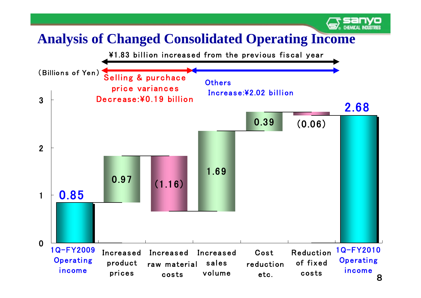#### **Analysis of Changed Consolidated Operating Income**

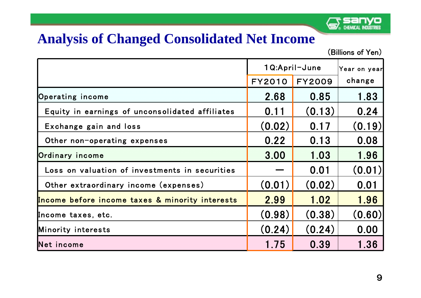

#### **Analysis of Changed Consolidated Net Income**

|                                                 |               | 1Q:April-June | Year on year |
|-------------------------------------------------|---------------|---------------|--------------|
|                                                 | <b>FY2010</b> | <b>FY2009</b> | change       |
| <b>Operating income</b>                         | 2.68          | 0.85          | 1.83         |
| Equity in earnings of unconsolidated affiliates | 0.11          | (0.13)        | 0.24         |
| Exchange gain and loss                          | (0.02)        | 0.17          | (0.19)       |
| Other non-operating expenses                    | 0.22          | 0.13          | 0.08         |
| Ordinary income                                 | 3.00          | 1.03          | 1.96         |
| Loss on valuation of investments in securities  |               | 0.01          | (0.01)       |
| Other extraordinary income (expenses)           | (0.01)        | (0.02)        | 0.01         |
| Income before income taxes & minority interests | 2.99          | 1.02          | 1.96         |
| Income taxes, etc.                              | (0.98)        | (0.38)        | (0.60)       |
| Minority interests                              | (0.24)        | (0.24)        | 0.00         |
| Net income                                      | 1.75          | 0.39          | 1.36         |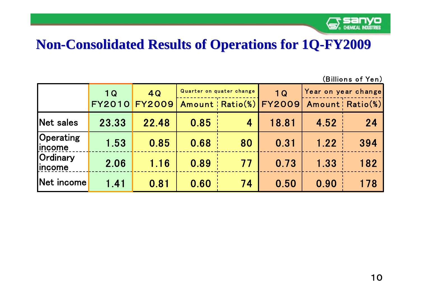

#### Non-Consolidated Results of Operations for 1Q-FY2009

|                                | 1Q            | 4Q            | Quarter on quater change |                         | 1 <sub>Q</sub> | Year on year change |                   |
|--------------------------------|---------------|---------------|--------------------------|-------------------------|----------------|---------------------|-------------------|
|                                | <b>FY2010</b> | <b>FY2009</b> |                          | Amount   Ratio(%)       | <b>FY2009</b>  |                     | Amount : Ratio(%) |
| Net sales                      | 23.33         | 22.48         | 0.85                     | $\overline{\mathbf{4}}$ | 18.81          | 4.52                | 24                |
| <b>Operating</b><br>income     | 1.53          | 0.85          | 0.68                     | 80                      | 0.31           | 1.22                | 394               |
| Ordinary<br><b>lincome</b>     | 2.06          | 1.16          | 0.89                     | 77                      | 0.73           | 1.33                | 182               |
| $ \mathsf{Net}\>$ income $ \,$ | 1.41          | 0.81          | 0.60                     | 74                      | 0.50           | 0.90                | 178               |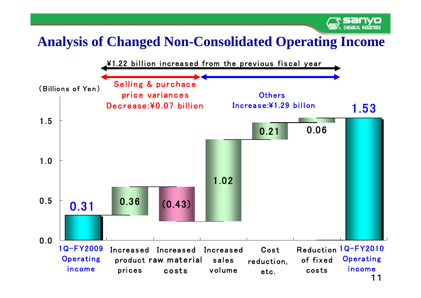### **Analysis of Changed Non-Consolidated Operating Income**



<sup>11</sup>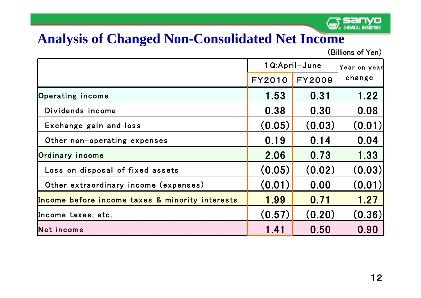

#### **Analysis of Changed Non-Consolidated Net Income**

|                                                 |               | 1Q:April-June | Year on year |  |
|-------------------------------------------------|---------------|---------------|--------------|--|
|                                                 | <b>FY2010</b> | <b>FY2009</b> | change       |  |
| Operating income                                | 1.53          | 0.31          | 1.22         |  |
| Dividends income                                | 0.38          | 0.30          | 0.08         |  |
| Exchange gain and loss                          | (0.05)        | (0.03)        | (0.01)       |  |
| Other non-operating expenses                    | 0.19          | 0.14          | 0.04         |  |
| Ordinary income                                 | 2.06          | 0.73          | 1.33         |  |
| Loss on disposal of fixed assets                | (0.05)        | (0.02)        | (0.03)       |  |
| Other extraordinary income (expenses)           | (0.01)        | 0.00          | (0.01)       |  |
| Income before income taxes & minority interests | 1.99          | 0.71          | 1.27         |  |
| Income taxes, etc.                              | (0.57)        | (0.20)        | (0.36)       |  |
| Net income                                      | 1.41          | 0.50          | 0.90         |  |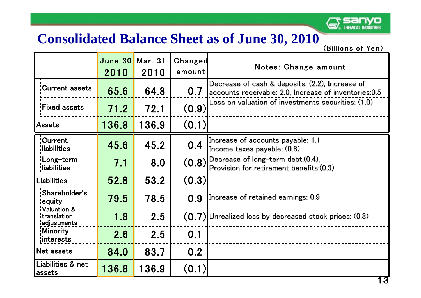

#### **Consolidated Balance Sheet as of June 30, 2010**

|                                                         | <b>June 30 Mar. 31</b><br>2010 | 2010  | Changed<br>amount | Notes: Change amount                                                                                      |
|---------------------------------------------------------|--------------------------------|-------|-------------------|-----------------------------------------------------------------------------------------------------------|
| Current assets                                          | 65.6                           | 64.8  | 0.7               | Decrease of cash & deposits: (2.2), Increase of<br>accounts receivable: 2.0, Increase of inventories: 0.5 |
| <b>Fixed assets</b>                                     | 71.2                           | 72.1  | (0.9)             | Loss on valuation of investments securities: (1.0)                                                        |
| Assets                                                  | 136.8                          | 136.9 | (0.1)             |                                                                                                           |
| <b>Current</b><br><b>liabilities</b>                    | 45.6                           | 45.2  | 0.4               | Increase of accounts payable: 1.1<br>Income taxes payable: (0.8)                                          |
| Long-term<br><b>I</b> iabilities                        | 7.1                            | 8.0   | (0.8)             | Decrease of long-term debt: (0.4),<br>Provision for retirement benefits: (0.3)                            |
| Liabilities                                             | 52.8                           | 53.2  | (0.3)             |                                                                                                           |
| Shareholder's<br>equity                                 | 79.5                           | 78.5  | 0.9               | Increase of retained earnings: 0.9                                                                        |
| Valuation &<br>$\frac{1}{4}$ translation<br>adjustments | 1.8                            | 2.5   | (0.7)             | Unrealized loss by decreased stock prices: (0.8)                                                          |
| <b>Minority</b><br>¦interests                           | 2.6                            | 2.5   | 0.1               |                                                                                                           |
| <b>Net assets</b>                                       | 84.0                           | 83.7  | 0.2               |                                                                                                           |
| Liabilities & net<br>assets                             | 136.8                          | 136.9 | (0.1)             |                                                                                                           |
|                                                         |                                |       |                   | 13                                                                                                        |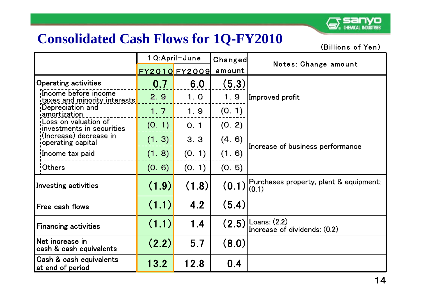

#### **Consolidated Cash Flows for 1Q-FY2010**

|                                                                                                                                                                                                                                |        | 1Q:April-June | Changed | Notes: Change amount                            |
|--------------------------------------------------------------------------------------------------------------------------------------------------------------------------------------------------------------------------------|--------|---------------|---------|-------------------------------------------------|
|                                                                                                                                                                                                                                |        | FY2010 FY2009 | amount  |                                                 |
| <b>Operating activities</b>                                                                                                                                                                                                    | 0.7    | 6.0           | (5.3)   |                                                 |
| Income before income<br><u>taxes and minority interests</u><br>Depreciation and<br>amortization<br>Loss on valuation of<br>investments in securities<br>:(Increase) decrease in<br><u>operating capital</u><br>Income tax paid | 2.9    | 1.0           | 1.9     | Improved profit                                 |
|                                                                                                                                                                                                                                | 1, 7   | 1.9           | (0, 1)  |                                                 |
|                                                                                                                                                                                                                                | (0, 1) | 0, 1          | (0, 2)  |                                                 |
|                                                                                                                                                                                                                                | (1.3)  | 3.3           | (4.6)   | Increase of business performance                |
|                                                                                                                                                                                                                                | (1.8)  | (0, 1)        | (1.6)   |                                                 |
| Others                                                                                                                                                                                                                         | (0, 6) | (0, 1)        | (0, 5)  |                                                 |
| <b>Investing activities</b>                                                                                                                                                                                                    | (1.9)  | (1.8)         | (0.1)   | Purchases property, plant & equipment:<br>(0.1) |
| Free cash flows                                                                                                                                                                                                                | (1.1)  | 4.2           | (5.4)   |                                                 |
| <b>Financing activities</b>                                                                                                                                                                                                    | (1.1)  | 1.4           | (2.5)   | Loans: $(2.2)$<br>Increase of dividends: (0.2)  |
| Net increase in<br>cash & cash equivalents                                                                                                                                                                                     | (2.2)  | 5.7           | (8.0)   |                                                 |
| Cash & cash equivalents<br>at end of period                                                                                                                                                                                    | 13.2   | 12.8          | 0.4     |                                                 |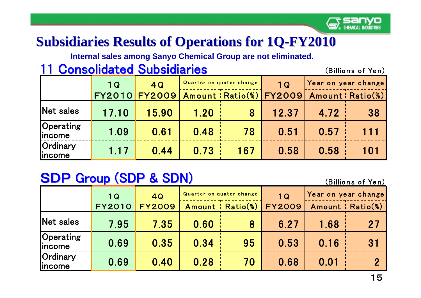

#### **Subsidiaries Results of Operations for 1Q-FY2010**

**Internal sales among Sanyo Chemical Group are not eliminated.**

#### 11 Consolidated Subsidiaries

(Billions of Yen)

|                                    | 1 <sub>Q</sub> | 4Q            | Quarter on quater change |     | 1 <sub>Q</sub>             | Year on year change |                   |
|------------------------------------|----------------|---------------|--------------------------|-----|----------------------------|---------------------|-------------------|
|                                    |                | FY2010 FY2009 |                          |     | Amount   Ratio(%)   FY2009 |                     | Amount : Ratio(%) |
| Net sales                          | 17.10          | 15.90         | 1.20                     | 8   | 12.37                      | 4.72                | 38                |
| <b>Operating</b><br><b>lincome</b> | 1.09           | 0.61          | 0.48                     | 78  | 0.51                       | 0.57                | <b>THE</b>        |
| Ordinary<br><b>lincome</b>         | 1.17           | 0.44          | 0.73                     | 167 | 0.58                       | 0.58                | 101               |

### SDP Group (SDP & SDN)

|                                   | 1 <sub>Q</sub> | 4Q            | Quarter on quater change |                   | 1 <sub>Q</sub> | Year on year change |                   |
|-----------------------------------|----------------|---------------|--------------------------|-------------------|----------------|---------------------|-------------------|
|                                   | <b>FY2010</b>  | <b>FY2009</b> |                          | Amount   Ratio(%) | <b>FY2009</b>  |                     | Amount   Ratio(%) |
| Net sales                         | 7.95           | 7.35          | 0.60                     | 8                 | 6.27           | 1.68                | 27                |
| Operating<br><b>lincome</b>       | 0.69           | 0.35          | 0.34                     | 95                | 0.53           | 0.16                | 31                |
| <b>Ordinary</b><br><b>lincome</b> | 0.69           | 0.40          | 0.28                     | 70                | 0.68           | 0.01                |                   |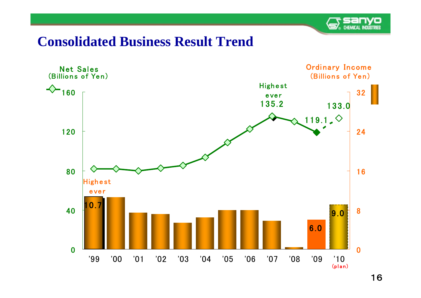

#### **Consolidated Business Result Trend**

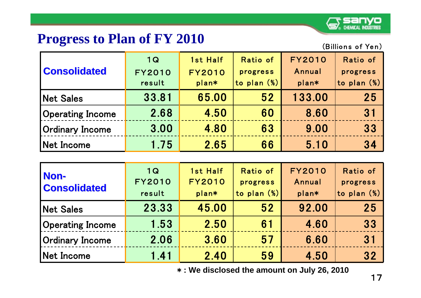

#### **Progress to Plan of FY 2010**

(Billions of Yen)

| <b>Consolidated</b>     | 1Q<br><b>FY2010</b> | 1st Half<br><b>FY2010</b> | Ratio of<br>progress | <b>FY2010</b><br>Annual | Ratio of<br>progress |
|-------------------------|---------------------|---------------------------|----------------------|-------------------------|----------------------|
|                         | result              | plan*                     | to plan (%)          | plan*                   | to plan $(\%)$       |
| <b>Net Sales</b>        | 33.81               | 65.00                     | 52                   | 133.00                  | 25                   |
| <b>Operating Income</b> | 2.68                | 4.50                      | 60                   | 8.60                    | 31                   |
| <b>Ordinary Income</b>  | 3.00                | 4.80                      | 63                   | 9.00                    | 33                   |
| Net Income              | 1.75                | 2.65                      | 66                   | 5.10                    | 34                   |

| Non-<br><b>Consolidated</b> | 1Q<br><b>FY2010</b><br>result | 1st Half<br><b>FY2010</b><br>plan* | Ratio of<br>progress<br>to plan (%) | <b>FY2010</b><br>Annual<br>plan* | Ratio of<br>progress<br>to plan $(\%)$ |
|-----------------------------|-------------------------------|------------------------------------|-------------------------------------|----------------------------------|----------------------------------------|
| <b>Net Sales</b>            | 23.33                         | 45.00                              | 52                                  | 92.00                            | 25                                     |
| <b>Operating Income</b>     | 1.53                          | 2.50                               | 61                                  | 4.60                             | 33                                     |
| <b>Ordinary Income</b>      | 2.06                          | 3.60                               | 57                                  | 6.60                             | 31                                     |
| Net Income                  | 1.41                          | 2.40                               | 59                                  | 4.50                             | 32                                     |

\* **: We disclosed the amount on July 26, 2010**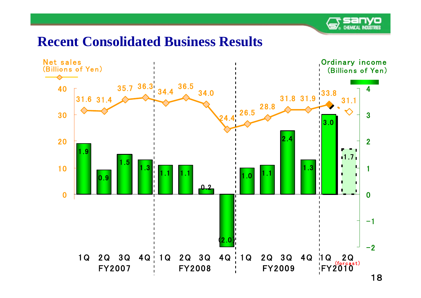70 **CHEMICAL INDUSTRIES** 

#### **Recent Consolidated Business Results**

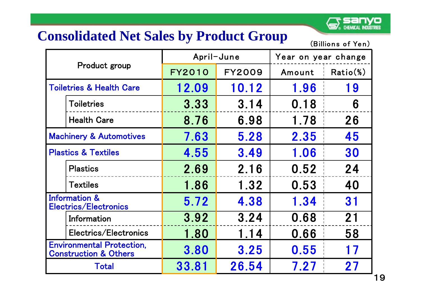

#### **Consolidated Net Sales by Product Group**

|                                                                      | April-June    |               | Year on year change |         |
|----------------------------------------------------------------------|---------------|---------------|---------------------|---------|
| Product group                                                        | <b>FY2010</b> | <b>FY2009</b> | Amount              | Ratio%) |
| <b>Toiletries &amp; Health Care</b>                                  | 12.09         | 10.12         | 1.96                | 19      |
| <b>Toiletries</b>                                                    | 3.33          | 3.14          | 0.18                | 6       |
| <b>Health Care</b>                                                   | 8.76          | 6.98          | 1.78                | 26      |
| <b>Machinery &amp; Automotives</b>                                   | 7.63          | 5.28          | 2.35                | 45      |
| <b>Plastics &amp; Textiles</b>                                       | 4.55          | 3.49          | 1.06                | 30      |
| <b>Plastics</b>                                                      | 2.69          | 2.16          | 0.52                | 24      |
| <b>Textiles</b>                                                      | 1.86          | 1.32          | 0.53                | 40      |
| <b>Information &amp;</b><br>Electrics/Electronics                    | 5.72          | 4.38          | 1.34                | 31      |
| Information                                                          | 3.92          | 3.24          | 0.68                | 21      |
| Electrics/Electronics                                                | 1.80          | 1.14          | 0.66                | 58      |
| <b>Environmental Protection,</b><br><b>Construction &amp; Others</b> | 3.80          | 3.25          | 0.55                | 17      |
| Total                                                                | 33.81         | 26.54         | 7.27                | 27      |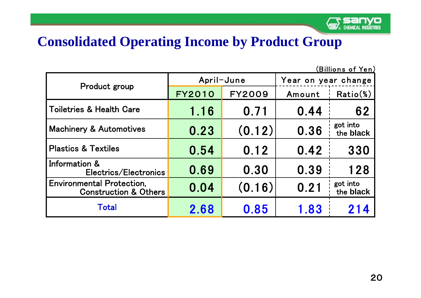

#### **Consolidated Operating Income by Product Group**

| (Billions of Yen) |  |
|-------------------|--|
|                   |  |

| Product group                                                        |               | April-June    | Year on year change |                       |  |
|----------------------------------------------------------------------|---------------|---------------|---------------------|-----------------------|--|
|                                                                      | <b>FY2010</b> | <b>FY2009</b> | Amount              | Ratio(%)              |  |
| <b>Toiletries &amp; Health Care</b>                                  | 1.16          | 0.71          | 0.44                | 62                    |  |
| <b>Machinery &amp; Automotives</b>                                   | 0.23          | (0.12)        | 0.36                | got into<br>the black |  |
| <b>Plastics &amp; Textiles</b>                                       | 0.54          | 0.12          | 0.42                | 330                   |  |
| <b>Information &amp;</b><br>Electrics/Electronics                    | 0.69          | 0.30          | 0.39                | 128                   |  |
| <b>Environmental Protection,</b><br><b>Construction &amp; Others</b> | 0.04          | (0.16)        | 0.21                | got into<br>the black |  |
| Total                                                                | 2.68          | 0.85          | 1.83                | 214                   |  |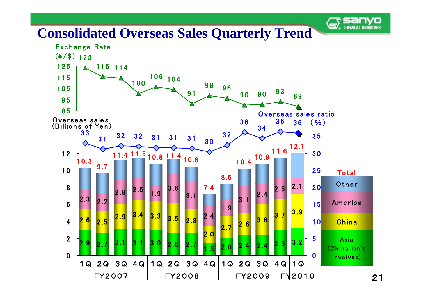

#### **Consolidated Overseas Sales Quarterly Trend**